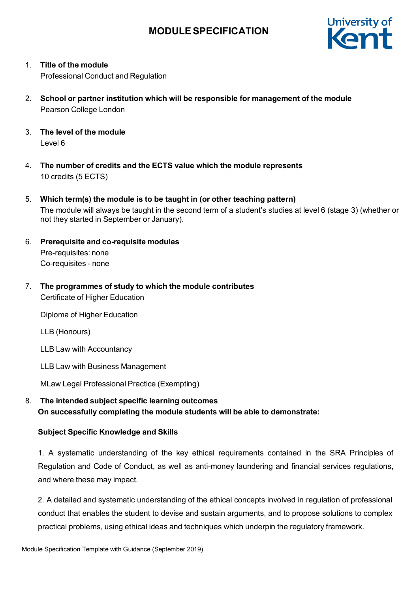

1. **Title of the module**

Professional Conduct and Regulation

- 2. **School or partner institution which will be responsible for management of the module** Pearson College London
- 3. **The level of the module** Level 6
- 4. **The number of credits and the ECTS value which the module represents** 10 credits (5 ECTS)
- 5. **Which term(s) the module is to be taught in (or other teaching pattern)** The module will always be taught in the second term of a student's studies at level 6 (stage 3) (whether or not they started in September or January).
- 6. **Prerequisite and co-requisite modules** Pre-requisites: none Co-requisites - none
- 7. **The programmes of study to which the module contributes** Certificate of Higher Education

Diploma of Higher Education

LLB (Honours)

LLB Law with Accountancy

LLB Law with Business Management

MLaw Legal Professional Practice (Exempting)

8. **The intended subject specific learning outcomes On successfully completing the module students will be able to demonstrate:**

### **Subject Specific Knowledge and Skills**

1. A systematic understanding of the key ethical requirements contained in the SRA Principles of Regulation and Code of Conduct, as well as anti-money laundering and financial services regulations, and where these may impact.

2. A detailed and systematic understanding of the ethical concepts involved in regulation of professional conduct that enables the student to devise and sustain arguments, and to propose solutions to complex practical problems, using ethical ideas and techniques which underpin the regulatory framework.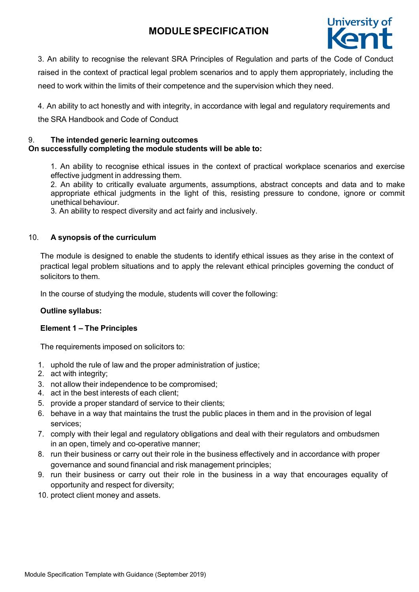

3. An ability to recognise the relevant SRA Principles of Regulation and parts of the Code of Conduct raised in the context of practical legal problem scenarios and to apply them appropriately, including the need to work within the limits of their competence and the supervision which they need.

4. An ability to act honestly and with integrity, in accordance with legal and regulatory requirements and the SRA Handbook and Code of Conduct

#### 9. **The intended generic learning outcomes On successfully completing the module students will be able to:**

1. An ability to recognise ethical issues in the context of practical workplace scenarios and exercise effective judgment in addressing them.

2. An ability to critically evaluate arguments, assumptions, abstract concepts and data and to make appropriate ethical judgments in the light of this, resisting pressure to condone, ignore or commit unethical behaviour.

3. An ability to respect diversity and act fairly and inclusively.

## 10. **A synopsis of the curriculum**

The module is designed to enable the students to identify ethical issues as they arise in the context of practical legal problem situations and to apply the relevant ethical principles governing the conduct of solicitors to them.

In the course of studying the module, students will cover the following:

### **Outline syllabus:**

### **Element 1 – The Principles**

The requirements imposed on solicitors to:

- 1. uphold the rule of law and the proper administration of justice;
- 2. act with integrity;
- 3. not allow their independence to be compromised;
- 4. act in the best interests of each client;
- 5. provide a proper standard of service to their clients;
- 6. behave in a way that maintains the trust the public places in them and in the provision of legal services;
- 7. comply with their legal and regulatory obligations and deal with their regulators and ombudsmen in an open, timely and co-operative manner;
- 8. run their business or carry out their role in the business effectively and in accordance with proper governance and sound financial and risk management principles;
- 9. run their business or carry out their role in the business in a way that encourages equality of opportunity and respect for diversity;
- 10. protect client money and assets.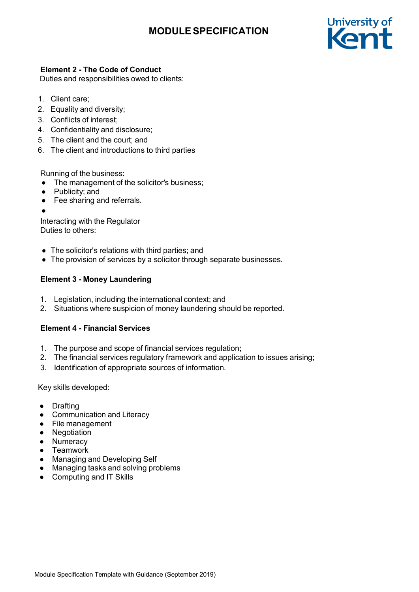

# **Element 2 - The Code of Conduct**

Duties and responsibilities owed to clients:

- 1. Client care;
- 2. Equality and diversity;
- 3. Conflicts of interest;
- 4. Confidentiality and disclosure;
- 5. The client and the court; and
- 6. The client and introductions to third parties

Running of the business:

- The management of the solicitor's business;
- Publicity; and
- Fee sharing and referrals.
- ●

Interacting with the Regulator Duties to others:

- The solicitor's relations with third parties; and
- The provision of services by a solicitor through separate businesses.

# **Element 3 - Money Laundering**

- 1. Legislation, including the international context; and
- 2. Situations where suspicion of money laundering should be reported.

# **Element 4 - Financial Services**

- 1. The purpose and scope of financial services regulation;
- 2. The financial services regulatory framework and application to issues arising;
- 3. Identification of appropriate sources of information.

Key skills developed:

- Drafting
- Communication and Literacy
- File management
- Negotiation
- Numeracy
- Teamwork
- Managing and Developing Self
- Managing tasks and solving problems
- Computing and IT Skills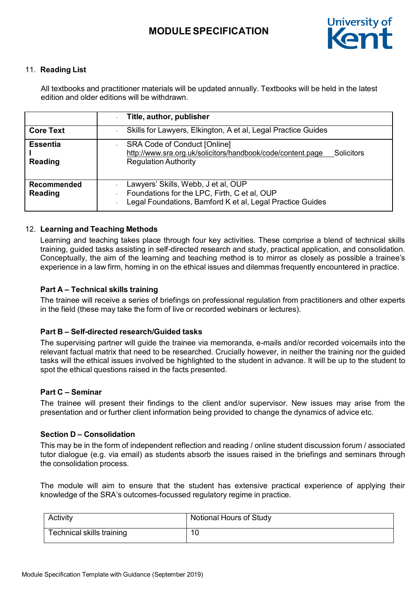

## 11. **Reading List**

All textbooks and practitioner materials will be updated annually. Textbooks will be held in the latest edition and older editions will be withdrawn.

|                                      | Title, author, publisher                                                                                                                               |  |  |  |
|--------------------------------------|--------------------------------------------------------------------------------------------------------------------------------------------------------|--|--|--|
| <b>Core Text</b>                     | Skills for Lawyers, Elkington, A et al, Legal Practice Guides                                                                                          |  |  |  |
| <b>Essentia</b><br><b>Reading</b>    | <b>SRA Code of Conduct [Online]</b><br>http://www.sra.org.uk/solicitors/handbook/code/content.page<br><b>Solicitors</b><br><b>Regulation Authority</b> |  |  |  |
| <b>Recommended</b><br><b>Reading</b> | Lawyers' Skills, Webb, J et al, OUP<br>Foundations for the LPC, Firth, C et al, OUP<br>Legal Foundations, Bamford K et al, Legal Practice Guides       |  |  |  |

#### 12. **Learning and Teaching Methods**

Learning and teaching takes place through four key activities. These comprise a blend of technical skills training, guided tasks assisting in self-directed research and study, practical application, and consolidation. Conceptually, the aim of the learning and teaching method is to mirror as closely as possible a trainee's experience in a law firm, homing in on the ethical issues and dilemmas frequently encountered in practice.

### **Part A – Technical skills training**

The trainee will receive a series of briefings on professional regulation from practitioners and other experts in the field (these may take the form of live or recorded webinars or lectures).

### **Part B – Self-directed research/Guided tasks**

The supervising partner will guide the trainee via memoranda, e-mails and/or recorded voicemails into the relevant factual matrix that need to be researched. Crucially however, in neither the training nor the guided tasks will the ethical issues involved be highlighted to the student in advance. It will be up to the student to spot the ethical questions raised in the facts presented.

#### **Part C – Seminar**

The trainee will present their findings to the client and/or supervisor. New issues may arise from the presentation and or further client information being provided to change the dynamics of advice etc.

#### **Section D – Consolidation**

This may be in the form of independent reflection and reading / online student discussion forum / associated tutor dialogue (e.g. via email) as students absorb the issues raised in the briefings and seminars through the consolidation process.

The module will aim to ensure that the student has extensive practical experience of applying their knowledge of the SRA's outcomes-focussed regulatory regime in practice.

| Activity                  | Notional Hours of Study |
|---------------------------|-------------------------|
| Technical skills training | 10                      |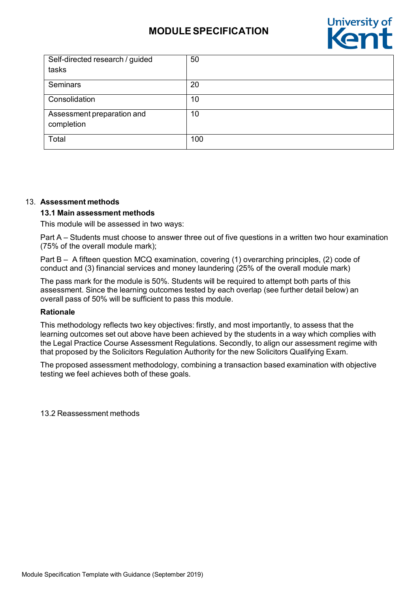

| Self-directed research / guided          | 50  |
|------------------------------------------|-----|
| tasks                                    |     |
| <b>Seminars</b>                          | 20  |
| Consolidation                            | 10  |
| Assessment preparation and<br>completion | 10  |
| Total                                    | 100 |

#### 13. **Assessment methods**

#### **13.1 Main assessment methods**

This module will be assessed in two ways:

Part A – Students must choose to answer three out of five questions in a written two hour examination (75% of the overall module mark);

Part B – A fifteen question MCQ examination, covering (1) overarching principles, (2) code of conduct and (3) financial services and money laundering (25% of the overall module mark)

The pass mark for the module is 50%. Students will be required to attempt both parts of this assessment. Since the learning outcomes tested by each overlap (see further detail below) an overall pass of 50% will be sufficient to pass this module.

#### **Rationale**

This methodology reflects two key objectives: firstly, and most importantly, to assess that the learning outcomes set out above have been achieved by the students in a way which complies with the Legal Practice Course Assessment Regulations. Secondly, to align our assessment regime with that proposed by the Solicitors Regulation Authority for the new Solicitors Qualifying Exam.

The proposed assessment methodology, combining a transaction based examination with objective testing we feel achieves both of these goals.

13.2 Reassessment methods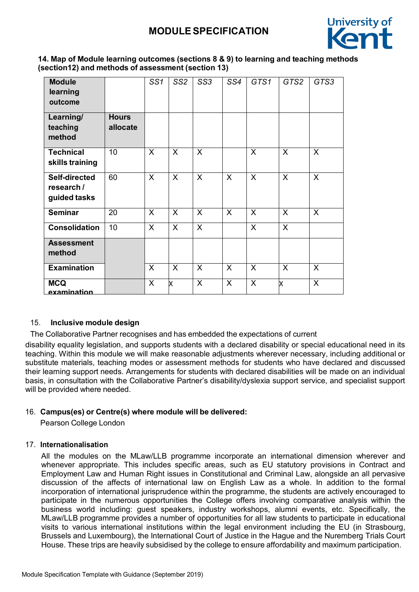

## **14. Map of Module learning outcomes (sections 8 & 9) to learning and teaching methods (section12) and methods of assessment (section 13)**

| <b>Module</b><br>learning<br>outcome        |                          | SS <sub>1</sub> | SS <sub>2</sub> | SS <sub>3</sub> | SS4          | GTS1         | GTS2         | GTS3           |
|---------------------------------------------|--------------------------|-----------------|-----------------|-----------------|--------------|--------------|--------------|----------------|
| Learning/<br>teaching<br>method             | <b>Hours</b><br>allocate |                 |                 |                 |              |              |              |                |
| <b>Technical</b><br>skills training         | 10                       | X               | X               | X               |              | X            | $\mathsf{X}$ | X              |
| Self-directed<br>research /<br>guided tasks | 60                       | $\mathsf{X}$    | $\mathsf{X}$    | $\mathsf{X}$    | X            | $\mathsf{X}$ | $\mathsf{X}$ | $\overline{X}$ |
| <b>Seminar</b>                              | 20                       | $\sf X$         | X               | $\mathsf{X}$    | $\mathsf{X}$ | $\sf X$      | $\mathsf{X}$ | $\sf X$        |
| <b>Consolidation</b>                        | 10                       | $\mathsf{X}$    | $\mathsf{X}$    | $\mathsf{X}$    |              | $\mathsf{X}$ | $\mathsf{X}$ |                |
| <b>Assessment</b><br>method                 |                          |                 |                 |                 |              |              |              |                |
| <b>Examination</b>                          |                          | $\mathsf{X}$    | $\mathsf{X}$    | $\mathsf{X}$    | $\mathsf{X}$ | $\sf X$      | $\mathsf{X}$ | $\sf X$        |
| <b>MCQ</b><br>examination                   |                          | $\mathsf{X}$    | x               | $\mathsf{X}$    | X            | X            | x            | $\overline{X}$ |

# 15. **Inclusive module design**

The Collaborative Partner recognises and has embedded the expectations of current

disability equality legislation, and supports students with a declared disability or special educational need in its teaching. Within this module we will make reasonable adjustments wherever necessary, including additional or substitute materials, teaching modes or assessment methods for students who have declared and discussed their learning support needs. Arrangements for students with declared disabilities will be made on an individual basis, in consultation with the Collaborative Partner's disability/dyslexia support service, and specialist support will be provided where needed.

# 16. **Campus(es) or Centre(s) where module will be delivered:**

Pearson College London

### 17. **Internationalisation**

All the modules on the MLaw/LLB programme incorporate an international dimension wherever and whenever appropriate. This includes specific areas, such as EU statutory provisions in Contract and Employment Law and Human Right issues in Constitutional and Criminal Law, alongside an all pervasive discussion of the affects of international law on English Law as a whole. In addition to the formal incorporation of international jurisprudence within the programme, the students are actively encouraged to participate in the numerous opportunities the College offers involving comparative analysis within the business world including: guest speakers, industry workshops, alumni events, etc. Specifically, the MLaw/LLB programme provides a number of opportunities for all law students to participate in educational visits to various international institutions within the legal environment including the EU (in Strasbourg, Brussels and Luxembourg), the International Court of Justice in the Hague and the Nuremberg Trials Court House. These trips are heavily subsidised by the college to ensure affordability and maximum participation.